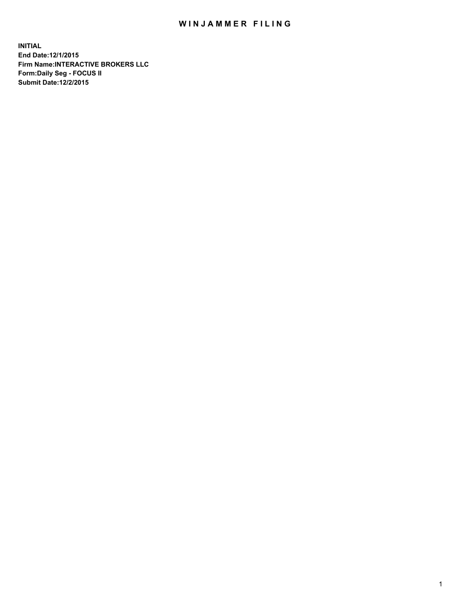## WIN JAMMER FILING

**INITIAL End Date:12/1/2015 Firm Name:INTERACTIVE BROKERS LLC Form:Daily Seg - FOCUS II Submit Date:12/2/2015**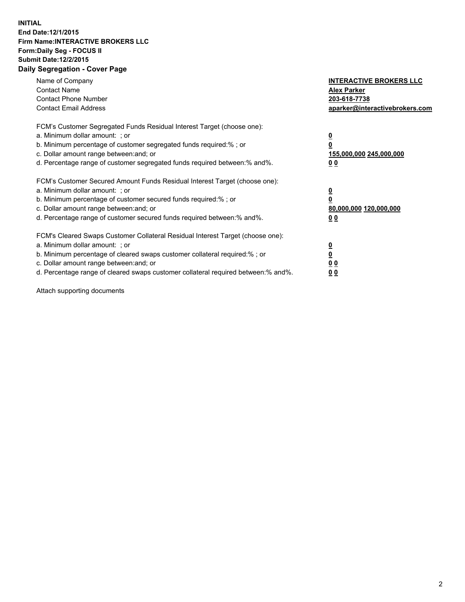## **INITIAL End Date:12/1/2015 Firm Name:INTERACTIVE BROKERS LLC Form:Daily Seg - FOCUS II Submit Date:12/2/2015 Daily Segregation - Cover Page**

| Name of Company<br><b>Contact Name</b><br><b>Contact Phone Number</b><br><b>Contact Email Address</b>                                                                                                                                                                                                                          | <b>INTERACTIVE BROKERS LLC</b><br><b>Alex Parker</b><br>203-618-7738<br>aparker@interactivebrokers.com |
|--------------------------------------------------------------------------------------------------------------------------------------------------------------------------------------------------------------------------------------------------------------------------------------------------------------------------------|--------------------------------------------------------------------------------------------------------|
| FCM's Customer Segregated Funds Residual Interest Target (choose one):<br>a. Minimum dollar amount: ; or<br>b. Minimum percentage of customer segregated funds required:% ; or<br>c. Dollar amount range between: and; or<br>d. Percentage range of customer segregated funds required between:% and%.                         | <u>0</u><br><u>155,000,000 245,000,000</u><br>00                                                       |
| FCM's Customer Secured Amount Funds Residual Interest Target (choose one):<br>a. Minimum dollar amount: ; or<br>b. Minimum percentage of customer secured funds required:%; or<br>c. Dollar amount range between: and; or<br>d. Percentage range of customer secured funds required between: % and %.                          | <u>0</u><br>80,000,000 120,000,000<br>0 <sub>0</sub>                                                   |
| FCM's Cleared Swaps Customer Collateral Residual Interest Target (choose one):<br>a. Minimum dollar amount: ; or<br>b. Minimum percentage of cleared swaps customer collateral required:% ; or<br>c. Dollar amount range between: and; or<br>d. Percentage range of cleared swaps customer collateral required between:% and%. | <u>0</u><br>0 <sub>0</sub><br><u>0 0</u>                                                               |

Attach supporting documents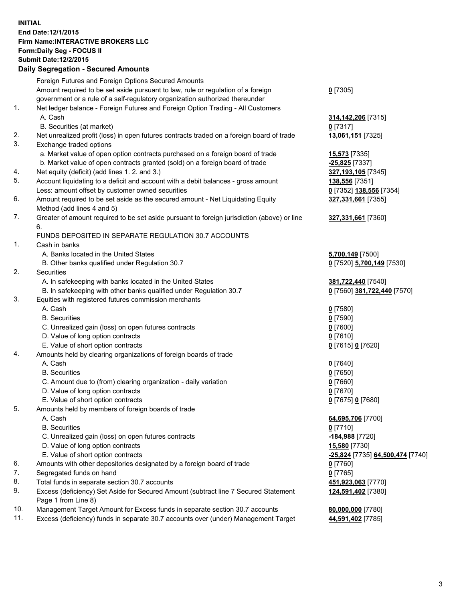## **INITIAL End Date:12/1/2015 Firm Name:INTERACTIVE BROKERS LLC Form:Daily Seg - FOCUS II Submit Date:12/2/2015 Daily Segregation - Secured Amounts**

|     | Daily Jegregation - Jeculed Aniounts                                                                       |                                  |
|-----|------------------------------------------------------------------------------------------------------------|----------------------------------|
|     | Foreign Futures and Foreign Options Secured Amounts                                                        |                                  |
|     | Amount required to be set aside pursuant to law, rule or regulation of a foreign                           | $0$ [7305]                       |
|     | government or a rule of a self-regulatory organization authorized thereunder                               |                                  |
| 1.  | Net ledger balance - Foreign Futures and Foreign Option Trading - All Customers                            |                                  |
|     | A. Cash                                                                                                    | 314, 142, 206 [7315]             |
|     | B. Securities (at market)                                                                                  | $0$ [7317]                       |
| 2.  | Net unrealized profit (loss) in open futures contracts traded on a foreign board of trade                  | 13,061,151 [7325]                |
| 3.  | Exchange traded options                                                                                    |                                  |
|     | a. Market value of open option contracts purchased on a foreign board of trade                             | <b>15,573</b> [7335]             |
|     | b. Market value of open contracts granted (sold) on a foreign board of trade                               | -25,825 [7337]                   |
| 4.  | Net equity (deficit) (add lines 1.2. and 3.)                                                               | 327,193,105 [7345]               |
| 5.  | Account liquidating to a deficit and account with a debit balances - gross amount                          | 138,556 [7351]                   |
|     | Less: amount offset by customer owned securities                                                           | 0 [7352] 138,556 [7354]          |
| 6.  | Amount required to be set aside as the secured amount - Net Liquidating Equity                             | 327,331,661 [7355]               |
|     | Method (add lines 4 and 5)                                                                                 |                                  |
| 7.  | Greater of amount required to be set aside pursuant to foreign jurisdiction (above) or line                | 327,331,661 [7360]               |
|     | 6.                                                                                                         |                                  |
|     | FUNDS DEPOSITED IN SEPARATE REGULATION 30.7 ACCOUNTS                                                       |                                  |
| 1.  | Cash in banks                                                                                              |                                  |
|     | A. Banks located in the United States                                                                      | 5,700,149 [7500]                 |
|     | B. Other banks qualified under Regulation 30.7                                                             | 0 [7520] 5,700,149 [7530]        |
| 2.  | Securities                                                                                                 |                                  |
|     | A. In safekeeping with banks located in the United States                                                  | 381,722,440 [7540]               |
|     | B. In safekeeping with other banks qualified under Regulation 30.7                                         | 0 [7560] 381,722,440 [7570]      |
| 3.  | Equities with registered futures commission merchants                                                      |                                  |
|     | A. Cash                                                                                                    | $0$ [7580]                       |
|     | <b>B.</b> Securities                                                                                       | $0$ [7590]                       |
|     | C. Unrealized gain (loss) on open futures contracts                                                        | $0$ [7600]                       |
|     | D. Value of long option contracts                                                                          | $0$ [7610]                       |
|     | E. Value of short option contracts                                                                         | 0 [7615] 0 [7620]                |
| 4.  | Amounts held by clearing organizations of foreign boards of trade                                          |                                  |
|     | A. Cash                                                                                                    | $0$ [7640]                       |
|     | <b>B.</b> Securities                                                                                       | $0$ [7650]                       |
|     | C. Amount due to (from) clearing organization - daily variation                                            | $0$ [7660]                       |
|     | D. Value of long option contracts                                                                          | $0$ [7670]                       |
|     | E. Value of short option contracts                                                                         | 0 [7675] 0 [7680]                |
| 5.  | Amounts held by members of foreign boards of trade                                                         |                                  |
|     | A. Cash                                                                                                    | 64,695,706 [7700]                |
|     | <b>B.</b> Securities                                                                                       | $0$ [7710]                       |
|     | C. Unrealized gain (loss) on open futures contracts                                                        | -184,988 [7720]                  |
|     | D. Value of long option contracts                                                                          | 15,580 [7730]                    |
|     | E. Value of short option contracts                                                                         | -25,824 [7735] 64,500,474 [7740] |
| 6.  | Amounts with other depositories designated by a foreign board of trade                                     | $0$ [7760]                       |
| 7.  | Segregated funds on hand                                                                                   | $0$ [7765]                       |
| 8.  | Total funds in separate section 30.7 accounts                                                              | 451,923,063 [7770]               |
| 9.  | Excess (deficiency) Set Aside for Secured Amount (subtract line 7 Secured Statement<br>Page 1 from Line 8) | 124,591,402 [7380]               |
| 10. | Management Target Amount for Excess funds in separate section 30.7 accounts                                | 80,000,000 [7780]                |
| 11. | Excess (deficiency) funds in separate 30.7 accounts over (under) Management Target                         | 44,591,402 [7785]                |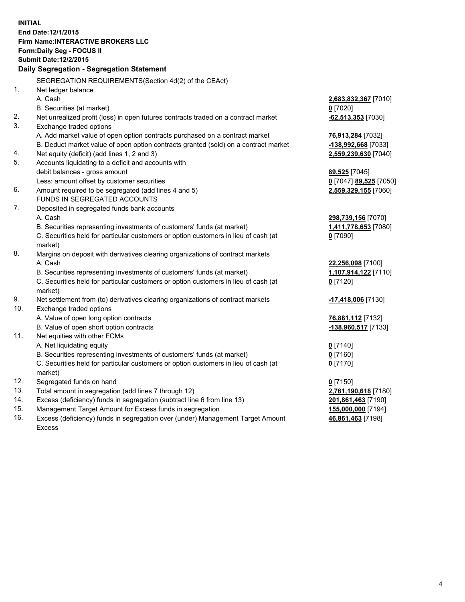**INITIAL End Date:12/1/2015 Firm Name:INTERACTIVE BROKERS LLC Form:Daily Seg - FOCUS II Submit Date:12/2/2015 Daily Segregation - Segregation Statement** SEGREGATION REQUIREMENTS(Section 4d(2) of the CEAct) 1. Net ledger balance A. Cash **2,683,832,367** [7010] B. Securities (at market) **0** [7020] 2. Net unrealized profit (loss) in open futures contracts traded on a contract market **-62,513,353** [7030] 3. Exchange traded options A. Add market value of open option contracts purchased on a contract market **76,913,284** [7032] B. Deduct market value of open option contracts granted (sold) on a contract market **-138,992,668** [7033] 4. Net equity (deficit) (add lines 1, 2 and 3) **2,559,239,630** [7040] 5. Accounts liquidating to a deficit and accounts with debit balances - gross amount **89,525** [7045] Less: amount offset by customer securities **0** [7047] **89,525** [7050] 6. Amount required to be segregated (add lines 4 and 5) **2,559,329,155** [7060] FUNDS IN SEGREGATED ACCOUNTS 7. Deposited in segregated funds bank accounts A. Cash **298,739,156** [7070] B. Securities representing investments of customers' funds (at market) **1,411,778,653** [7080] C. Securities held for particular customers or option customers in lieu of cash (at market) **0** [7090] 8. Margins on deposit with derivatives clearing organizations of contract markets A. Cash **22,256,098** [7100] B. Securities representing investments of customers' funds (at market) **1,107,914,122** [7110] C. Securities held for particular customers or option customers in lieu of cash (at market) **0** [7120] 9. Net settlement from (to) derivatives clearing organizations of contract markets **-17,418,006** [7130] 10. Exchange traded options A. Value of open long option contracts **76,881,112** [7132] B. Value of open short option contracts **-138,960,517** [7133] 11. Net equities with other FCMs A. Net liquidating equity **0** [7140] B. Securities representing investments of customers' funds (at market) **0** [7160] C. Securities held for particular customers or option customers in lieu of cash (at market) **0** [7170] 12. Segregated funds on hand **0** [7150] 13. Total amount in segregation (add lines 7 through 12) **2,761,190,618** [7180] 14. Excess (deficiency) funds in segregation (subtract line 6 from line 13) **201,861,463** [7190] 15. Management Target Amount for Excess funds in segregation **155,000,000** [7194] **46,861,463** [7198]

16. Excess (deficiency) funds in segregation over (under) Management Target Amount Excess